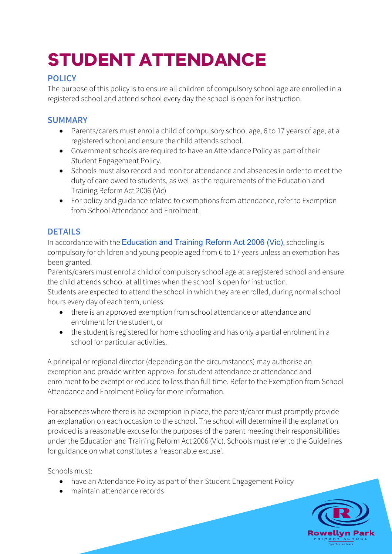# **STUDENT ATTENDANCE**

# **POLICY**

The purpose of this policy is to ensure all children of compulsory school age are enrolled in a registered school and attend school every day the school is open for instruction.

## **SUMMARY**

- Parents/carers must enrol a child of compulsory school age, 6 to 17 years of age, at a registered school and ensure the child attends school.
- Government schools are required to have an Attendance Policy as part of their Student Engagement Policy.
- Schools must also record and monitor attendance and absences in order to meet the duty of care owed to students, as well as the requirements of the Education and Training Reform Act 2006 (Vic)
- For policy and guidance related to exemptions from attendance, refer to Exemption from School Attendance and Enrolment.

# **DETAILS**

In accordance with the Education and Training Reform Act 2006 (Vic), schooling is compulsory for children and young people aged from 6 to 17 years unless an exemption has been granted.

Parents/carers must enrol a child of compulsory school age at a registered school and ensure the child attends school at all times when the school is open for instruction.

Students are expected to attend the school in which they are enrolled, during normal school hours every day of each term, unless:

- there is an approved exemption from school attendance or attendance and enrolment for the student, or
- the student is registered for home schooling and has only a partial enrolment in a school for particular activities.

A principal or regional director (depending on the circumstances) may authorise an exemption and provide written approval for student attendance or attendance and enrolment to be exempt or reduced to less than full time. Refer to the Exemption from School Attendance and Enrolment Policy for more information.

For absences where there is no exemption in place, the parent/carer must promptly provide an explanation on each occasion to the school. The school will determine if the explanation provided is a reasonable excuse for the purposes of the parent meeting their responsibilities under the Education and Training Reform Act 2006 (Vic). Schools must refer to the Guidelines for guidance on what constitutes a 'reasonable excuse'.

Schools must:

- have an Attendance Policy as part of their Student Engagement Policy
- maintain attendance records